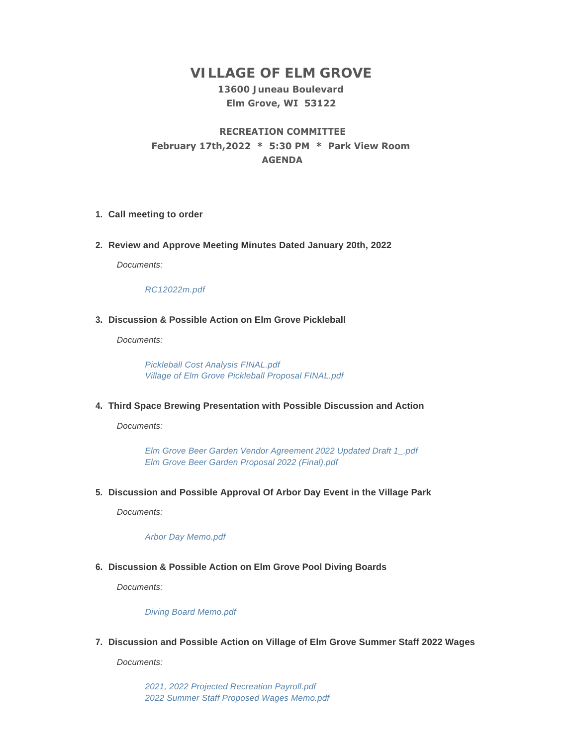# **VILLAGE OF ELM GROVE**

## **13600 Juneau Boulevard Elm Grove, WI 53122**

# **RECREATION COMMITTEE February 17th,2022 \* 5:30 PM \* Park View Room AGENDA**

#### **Call meeting to order 1.**

**Review and Approve Meeting Minutes Dated January 20th, 2022 2.**

*Documents:*

*[RC12022m.pdf](https://elmgrovewi.org/AgendaCenter/ViewFile/Item/11458?fileID=17945)*

### **Discussion & Possible Action on Elm Grove Pickleball 3.**

*Documents:*

*[Pickleball Cost Analysis FINAL.pdf](https://elmgrovewi.org/AgendaCenter/ViewFile/Item/11484?fileID=17977) [Village of Elm Grove Pickleball Proposal FINAL.pdf](https://elmgrovewi.org/AgendaCenter/ViewFile/Item/11484?fileID=17978)*

**Third Space Brewing Presentation with Possible Discussion and Action 4.**

*Documents:*

*[Elm Grove Beer Garden Vendor Agreement 2022 Updated Draft 1\\_.pdf](https://elmgrovewi.org/AgendaCenter/ViewFile/Item/11496?fileID=17982) [Elm Grove Beer Garden Proposal 2022 \(Final\).pdf](https://elmgrovewi.org/AgendaCenter/ViewFile/Item/11496?fileID=17983)*

**Discussion and Possible Approval Of Arbor Day Event in the Village Park 5.**

*Documents:*

*[Arbor Day Memo.pdf](https://elmgrovewi.org/AgendaCenter/ViewFile/Item/11483?fileID=17976)*

### **Discussion & Possible Action on Elm Grove Pool Diving Boards 6.**

*Documents:*

*[Diving Board Memo.pdf](https://elmgrovewi.org/AgendaCenter/ViewFile/Item/11468?fileID=17948)*

**Discussion and Possible Action on Village of Elm Grove Summer Staff 2022 Wages 7.**

*Documents:*

*[2021, 2022 Projected Recreation Payroll.pdf](https://elmgrovewi.org/AgendaCenter/ViewFile/Item/11461?fileID=17946) [2022 Summer Staff Proposed Wages Memo.pdf](https://elmgrovewi.org/AgendaCenter/ViewFile/Item/11461?fileID=17947)*